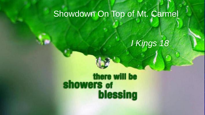# Showdown On Top of Mt. Carmel

*I Kings 18*

there will be<br>showers of<br>blessing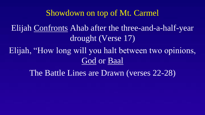## Showdown on top of Mt. Carmel

Elijah Confronts Ahab after the three-and-a-half-year drought (Verse 17)

Elijah, "How long will you halt between two opinions, God or Baal

The Battle Lines are Drawn (verses 22-28)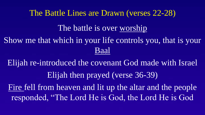The Battle Lines are Drawn (verses 22-28) The battle is over worship Show me that which in your life controls you, that is your Baal

Elijah re-introduced the covenant God made with Israel Elijah then prayed (verse 36-39) Fire fell from heaven and lit up the altar and the people responded, "The Lord He is God, the Lord He is God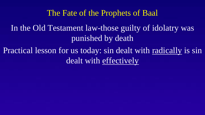## The Fate of the Prophets of Baal

In the Old Testament law-those guilty of idolatry was punished by death

Practical lesson for us today: sin dealt with radically is sin dealt with effectively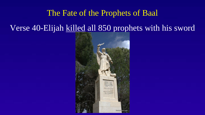#### The Fate of the Prophets of Baal

# Verse 40-Elijah killed all 850 prophets with his sword

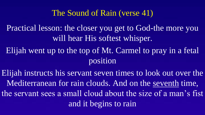## The Sound of Rain (verse 41)

Practical lesson: the closer you get to God-the more you will hear His softest whisper.

Elijah went up to the top of Mt. Carmel to pray in a fetal position

Elijah instructs his servant seven times to look out over the Mediterranean for rain clouds. And on the seventh time, the servant sees a small cloud about the size of a man's fist and it begins to rain